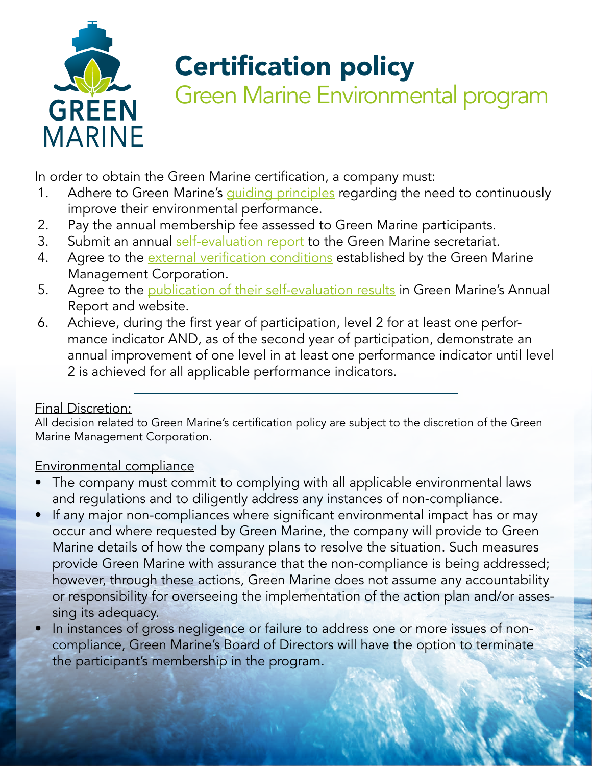

## Certification policy

Green Marine Environmental program

In order to obtain the Green Marine certification, a company must:

- 1. Adhere to Green Marine's *quiding principles* regarding the need to continuously improve their environmental performance.
- 2. Pay the annual membership fee assessed to Green Marine participants.
- 3. Submit an annual [self-evaluation report](#page-1-1) to the Green Marine secretariat.
- 4. Agree to the [external verification conditions](#page-2-0) established by the Green Marine Management Corporation.
- 5. Agree to the [publication of their self-evaluation results](#page-2-1) in Green Marine's Annual Report and website.
- 6. Achieve, during the first year of participation, level 2 for at least one performance indicator AND, as of the second year of participation, demonstrate an annual improvement of one level in at least one performance indicator until level 2 is achieved for all applicable performance indicators.

#### Final Discretion:

All decision related to Green Marine's certification policy are subject to the discretion of the Green Marine Management Corporation.

#### Environmental compliance

- The company must commit to complying with all applicable environmental laws and regulations and to diligently address any instances of non-compliance.
- If any major non-compliances where significant environmental impact has or may occur and where requested by Green Marine, the company will provide to Green Marine details of how the company plans to resolve the situation. Such measures provide Green Marine with assurance that the non-compliance is being addressed; however, through these actions, Green Marine does not assume any accountability or responsibility for overseeing the implementation of the action plan and/or assessing its adequacy.
- In instances of gross negligence or failure to address one or more issues of noncompliance, Green Marine's Board of Directors will have the option to terminate the participant's membership in the program.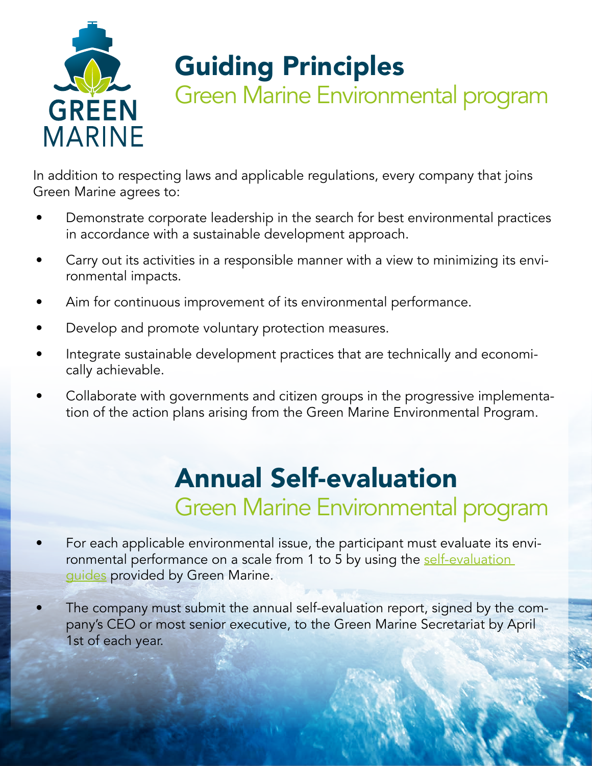

### <span id="page-1-0"></span>Guiding Principles

Green Marine Environmental program

In addition to respecting laws and applicable regulations, every company that joins Green Marine agrees to:

- Demonstrate corporate leadership in the search for best environmental practices in accordance with a sustainable development approach.
- Carry out its activities in a responsible manner with a view to minimizing its environmental impacts.
- Aim for continuous improvement of its environmental performance.
- Develop and promote voluntary protection measures.
- Integrate sustainable development practices that are technically and economically achievable.
- Collaborate with governments and citizen groups in the progressive implementation of the action plans arising from the Green Marine Environmental Program.

### <span id="page-1-1"></span>Annual Self-evaluation Green Marine Environmental program

- For each applicable environmental issue, the participant must evaluate its environmental performance on a scale from 1 to 5 by using the self-evaluation [guides](http://www.green-marine.org/certification/self-evaluation-guides/) provided by Green Marine.
- The company must submit the annual self-evaluation report, signed by the company's CEO or most senior executive, to the Green Marine Secretariat by April 1st of each year.